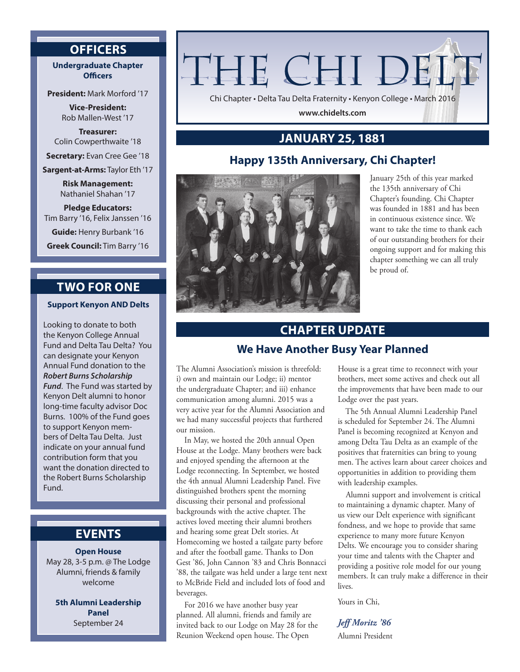## **OFFICERS**

## **Undergraduate Chapter Officers**

**President:** Mark Morford '17

**Vice-President:** Rob Mallen-West '17

**Treasurer:** Colin Cowperthwaite '18

**Secretary:** Evan Cree Gee '18

**Sargent-at-Arms:** Taylor Eth '17

**Risk Management:** Nathaniel Shahan '17

**Pledge Educators:** Tim Barry '16, Felix Janssen '16

**Guide:** Henry Burbank '16

**Greek Council:** Tim Barry '16

# **TWO FOR ONE**

**Support Kenyon AND Delts**

Looking to donate to both the Kenyon College Annual Fund and Delta Tau Delta? You can designate your Kenyon Annual Fund donation to the *Robert Burns Scholarship Fund*. The Fund was started by Kenyon Delt alumni to honor long-time faculty advisor Doc Burns. 100% of the Fund goes to support Kenyon members of Delta Tau Delta. Just indicate on your annual fund contribution form that you want the donation directed to the Robert Burns Scholarship Fund.

## **EVENTS**

## **Open House**

May 28, 3-5 p.m. @ The Lodge Alumni, friends & family welcome

**5th Alumni Leadership Panel** September 24

# THE CHI DEL'

Chi Chapter • Delta Tau Delta Fraternity • Kenyon College • March 2016

**www.chidelts.com**

# **JANUARY 25, 1881**

## **Happy 135th Anniversary, Chi Chapter!**



January 25th of this year marked the 135th anniversary of Chi Chapter's founding. Chi Chapter was founded in 1881 and has been in continuous existence since. We want to take the time to thank each of our outstanding brothers for their ongoing support and for making this chapter something we can all truly be proud of.

# **CHAPTER UPDATE**

## **We Have Another Busy Year Planned**

The Alumni Association's mission is threefold: i) own and maintain our Lodge; ii) mentor the undergraduate Chapter; and iii) enhance communication among alumni. 2015 was a very active year for the Alumni Association and we had many successful projects that furthered our mission.

In May, we hosted the 20th annual Open House at the Lodge. Many brothers were back and enjoyed spending the afternoon at the Lodge reconnecting. In September, we hosted the 4th annual Alumni Leadership Panel. Five distinguished brothers spent the morning discussing their personal and professional backgrounds with the active chapter. The actives loved meeting their alumni brothers and hearing some great Delt stories. At Homecoming we hosted a tailgate party before and after the football game. Thanks to Don Gest '86, John Cannon '83 and Chris Bonnacci '88, the tailgate was held under a large tent next to McBride Field and included lots of food and beverages.

For 2016 we have another busy year planned. All alumni, friends and family are invited back to our Lodge on May 28 for the Reunion Weekend open house. The Open

House is a great time to reconnect with your brothers, meet some actives and check out all the improvements that have been made to our Lodge over the past years.

The 5th Annual Alumni Leadership Panel is scheduled for September 24. The Alumni Panel is becoming recognized at Kenyon and among Delta Tau Delta as an example of the positives that fraternities can bring to young men. The actives learn about career choices and opportunities in addition to providing them with leadership examples.

Alumni support and involvement is critical to maintaining a dynamic chapter. Many of us view our Delt experience with significant fondness, and we hope to provide that same experience to many more future Kenyon Delts. We encourage you to consider sharing your time and talents with the Chapter and providing a positive role model for our young members. It can truly make a difference in their lives.

Yours in Chi,

## *Jeff Moritz '86*

Alumni President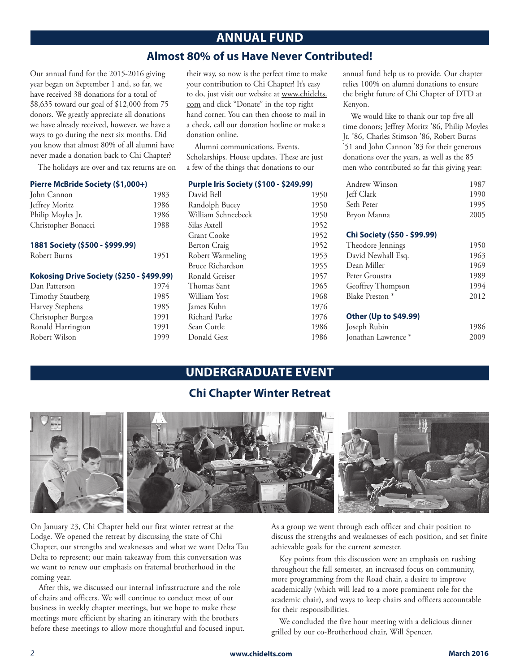# **ANNUAL FUND**

## **Almost 80% of us Have Never Contributed!**

Our annual fund for the 2015-2016 giving year began on September 1 and, so far, we have received 38 donations for a total of \$8,635 toward our goal of \$12,000 from 75 donors. We greatly appreciate all donations we have already received, however, we have a ways to go during the next six months. Did you know that almost 80% of all alumni have never made a donation back to Chi Chapter?

The holidays are over and tax returns are on

#### **Pierre McBride Society (\$1,000+)**

| John Cannon         | 1983 |
|---------------------|------|
| Jeffrey Moritz      | 1986 |
| Philip Moyles Jr.   | 1986 |
| Christopher Bonacci | 1988 |

#### **1881 Society (\$500 - \$999.99)**

| Robert Burns | 1951 |
|--------------|------|
|--------------|------|

#### **Kokosing Drive Society (\$250 - \$499.99)**

| Dan Patterson            | 1974 |
|--------------------------|------|
| <b>Timothy Stautberg</b> | 1985 |
| Harvey Stephens          | 1985 |
| Christopher Burgess      | 1991 |
| Ronald Harrington        | 1991 |
| Robert Wilson            | 1999 |

their way, so now is the perfect time to make your contribution to Chi Chapter! It's easy to do, just visit our website at www.chidelts. com and click "Donate" in the top right hand corner. You can then choose to mail in a check, call our donation hotline or make a donation online.

Alumni communications. Events. Scholarships. House updates. These are just a few of the things that donations to our

#### **Purple Iris Society (\$100 - \$249.99)**

| David Bell          | 1950 |
|---------------------|------|
| Randolph Bucey      | 1950 |
| William Schneebeck  | 1950 |
| Silas Axtell        | 1952 |
| <b>Grant Cooke</b>  | 1952 |
| <b>Berton Craig</b> | 1952 |
| Robert Warmeling    | 1953 |
| Bruce Richardson    | 1955 |
| Ronald Greiser      | 1957 |
| Thomas Sant         | 1965 |
| William Yost        | 1968 |
| James Kuhn          | 1976 |
| Richard Parke       | 1976 |
| Sean Cottle         | 1986 |
| Donald Gest         | 1986 |
|                     |      |

annual fund help us to provide. Our chapter relies 100% on alumni donations to ensure the bright future of Chi Chapter of DTD at Kenyon.

We would like to thank our top five all time donors; Jeffrey Moritz '86, Philip Moyles Jr. '86, Charles Stimson '86, Robert Burns '51 and John Cannon '83 for their generous donations over the years, as well as the 85 men who contributed so far this giving year:

| Andrew Winson | 1987 |
|---------------|------|
| Jeff Clark    | 1990 |
| Seth Peter    | 1995 |
| Bryon Manna   | 2005 |

#### **Chi Society (\$50 - \$99.99)**

| Theodore Jennings                     | 1950 |
|---------------------------------------|------|
| David Newhall Esq.                    | 1963 |
| Dean Miller                           | 1969 |
| Peter Groustra                        | 1989 |
| Geoffrey Thompson                     | 1994 |
| Blake Preston *                       | 2012 |
| <b>Other (Up to \$49.99)</b>          |      |
| $I_{\text{count}}$ $D_{\text{other}}$ | 100C |

| Joseph Rubin        | 1986 |
|---------------------|------|
| Jonathan Lawrence * | 2009 |

# **UNDERGRADUATE EVENT**

## **Chi Chapter Winter Retreat**



On January 23, Chi Chapter held our first winter retreat at the Lodge. We opened the retreat by discussing the state of Chi Chapter, our strengths and weaknesses and what we want Delta Tau Delta to represent; our main takeaway from this conversation was we want to renew our emphasis on fraternal brotherhood in the coming year.

After this, we discussed our internal infrastructure and the role of chairs and officers. We will continue to conduct most of our business in weekly chapter meetings, but we hope to make these meetings more efficient by sharing an itinerary with the brothers before these meetings to allow more thoughtful and focused input. As a group we went through each officer and chair position to discuss the strengths and weaknesses of each position, and set finite achievable goals for the current semester.

Key points from this discussion were an emphasis on rushing throughout the fall semester, an increased focus on community, more programming from the Road chair, a desire to improve academically (which will lead to a more prominent role for the academic chair), and ways to keep chairs and officers accountable for their responsibilities.

We concluded the five hour meeting with a delicious dinner grilled by our co-Brotherhood chair, Will Spencer.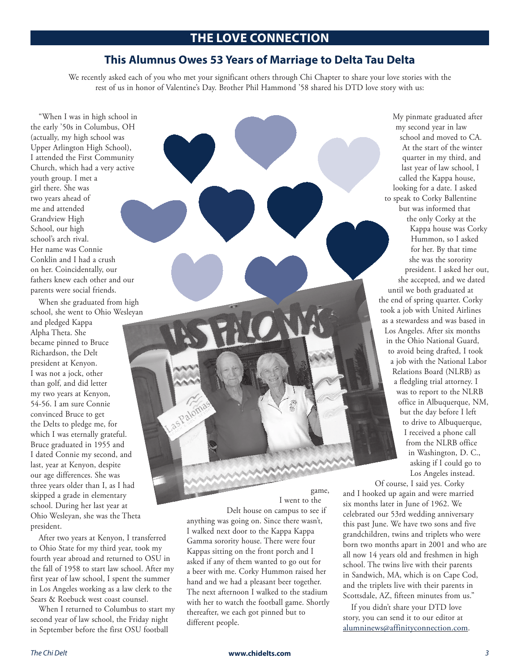## **THE LOVE CONNECTION**

## **This Alumnus Owes 53 Years of Marriage to Delta Tau Delta**

We recently asked each of you who met your significant others through Chi Chapter to share your love stories with the rest of us in honor of Valentine's Day. Brother Phil Hammond '58 shared his DTD love story with us:

"When I was in high school in the early '50s in Columbus, OH (actually, my high school was Upper Arlington High School), I attended the First Community Church, which had a very active youth group. I met a girl there. She was two years ahead of me and attended Grandview High School, our high school's arch rival. Her name was Connie Conklin and I had a crush on her. Coincidentally, our fathers knew each other and our parents were social friends.

When she graduated from high school, she went to Ohio Wesleyan

and pledged Kappa Alpha Theta. She became pinned to Bruce Richardson, the Delt president at Kenyon. I was not a jock, other than golf, and did letter my two years at Kenyon, 54-56. I am sure Connie convinced Bruce to get the Delts to pledge me, for which I was eternally grateful. Bruce graduated in 1955 and I dated Connie my second, and last, year at Kenyon, despite our age differences. She was three years older than I, as I had skipped a grade in elementary school. During her last year at Ohio Wesleyan, she was the Theta president.

After two years at Kenyon, I transferred to Ohio State for my third year, took my fourth year abroad and returned to OSU in the fall of 1958 to start law school. After my first year of law school, I spent the summer in Los Angeles working as a law clerk to the Sears & Roebuck west coast counsel.

When I returned to Columbus to start my second year of law school, the Friday night in September before the first OSU football

game, I went to the

Delt house on campus to see if anything was going on. Since there wasn't, I walked next door to the Kappa Kappa Gamma sorority house. There were four Kappas sitting on the front porch and I asked if any of them wanted to go out for a beer with me. Corky Hummon raised her hand and we had a pleasant beer together. The next afternoon I walked to the stadium with her to watch the football game. Shortly thereafter, we each got pinned but to different people.

as Paloma

My pinmate graduated after my second year in law school and moved to CA. At the start of the winter quarter in my third, and last year of law school, I called the Kappa house, looking for a date. I asked to speak to Corky Ballentine but was informed that the only Corky at the Kappa house was Corky Hummon, so I asked for her. By that time she was the sorority president. I asked her out, she accepted, and we dated until we both graduated at the end of spring quarter. Corky took a job with United Airlines as a stewardess and was based in Los Angeles. After six months in the Ohio National Guard, to avoid being drafted, I took a job with the National Labor Relations Board (NLRB) as a fledgling trial attorney. I was to report to the NLRB office in Albuquerque, NM, but the day before I left to drive to Albuquerque, I received a phone call from the NLRB office in Washington, D. C., asking if I could go to Los Angeles instead.

Of course, I said yes. Corky and I hooked up again and were married six months later in June of 1962. We celebrated our 53rd wedding anniversary this past June. We have two sons and five grandchildren, twins and triplets who were born two months apart in 2001 and who are all now 14 years old and freshmen in high school. The twins live with their parents in Sandwich, MA, which is on Cape Cod, and the triplets live with their parents in Scottsdale, AZ, fifteen minutes from us."

If you didn't share your DTD love story, you can send it to our editor at alumninews@affinityconnection.com.